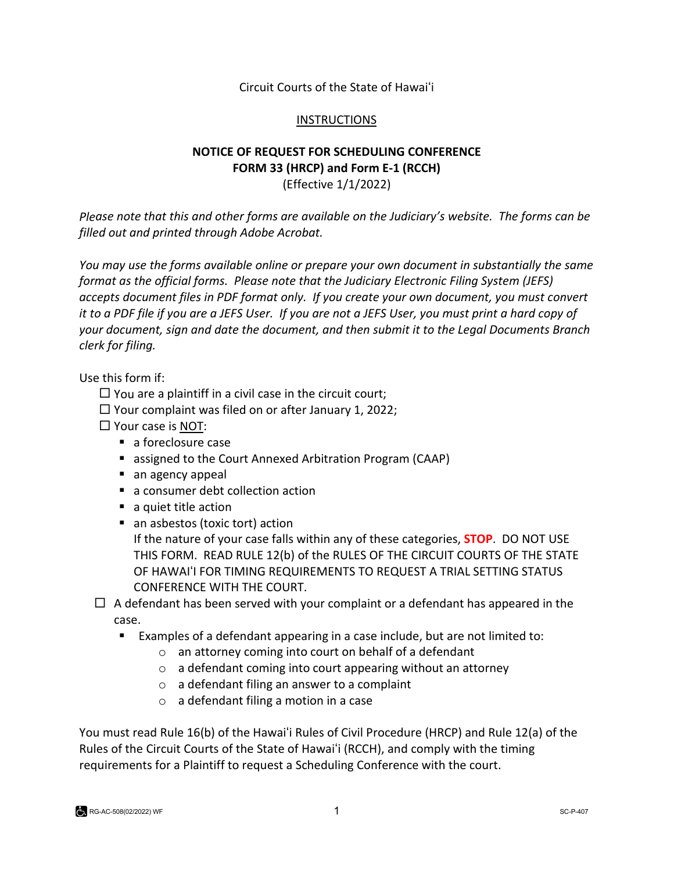Circuit Courts of the State of Hawaiʻi

## INSTRUCTIONS

## **NOTICE OF REQUEST FOR SCHEDULING CONFERENCE FORM 33 (HRCP) and Form E-1 (RCCH)** (Effective 1/1/2022)

*Please note that this and other forms are available on the Judiciary's website. The forms can be filled out and printed through Adobe Acrobat.* 

*You may use the forms available online or prepare your own document in substantially the same format as the official forms. Please note that the Judiciary Electronic Filing System (JEFS) accepts document files in PDF format only. If you create your own document, you must convert it to a PDF file if you are a JEFS User. If you are not a JEFS User, you must print a hard copy of your document, sign and date the document, and then submit it to the Legal Documents Branch clerk for filing.* 

Use this form if:

- $\Box$  You are a plaintiff in a civil case in the circuit court;
- $\Box$  Your complaint was filed on or after January 1, 2022;
- □ Your case is NOT:
	- a foreclosure case
	- assigned to the Court Annexed Arbitration Program (CAAP)
	- an agency appeal
	- a consumer debt collection action
	- a quiet title action
	- an asbestos (toxic tort) action If the nature of your case falls within any of these categories, **STOP**. DO NOT USE THIS FORM. READ RULE 12(b) of the RULES OF THE CIRCUIT COURTS OF THE STATE OF HAWAIʻI FOR TIMING REQUIREMENTS TO REQUEST A TRIAL SETTING STATUS CONFERENCE WITH THE COURT.
- $\Box$  A defendant has been served with your complaint or a defendant has appeared in the case.
	- Examples of a defendant appearing in a case include, but are not limited to:
		- o an attorney coming into court on behalf of a defendant
		- $\circ$  a defendant coming into court appearing without an attorney
		- o a defendant filing an answer to a complaint
		- o a defendant filing a motion in a case

You must read Rule 16(b) of the Hawaiʻi Rules of Civil Procedure (HRCP) and Rule 12(a) of the Rules of the Circuit Courts of the State of Hawaiʻi (RCCH), and comply with the timing requirements for a Plaintiff to request a Scheduling Conference with the court.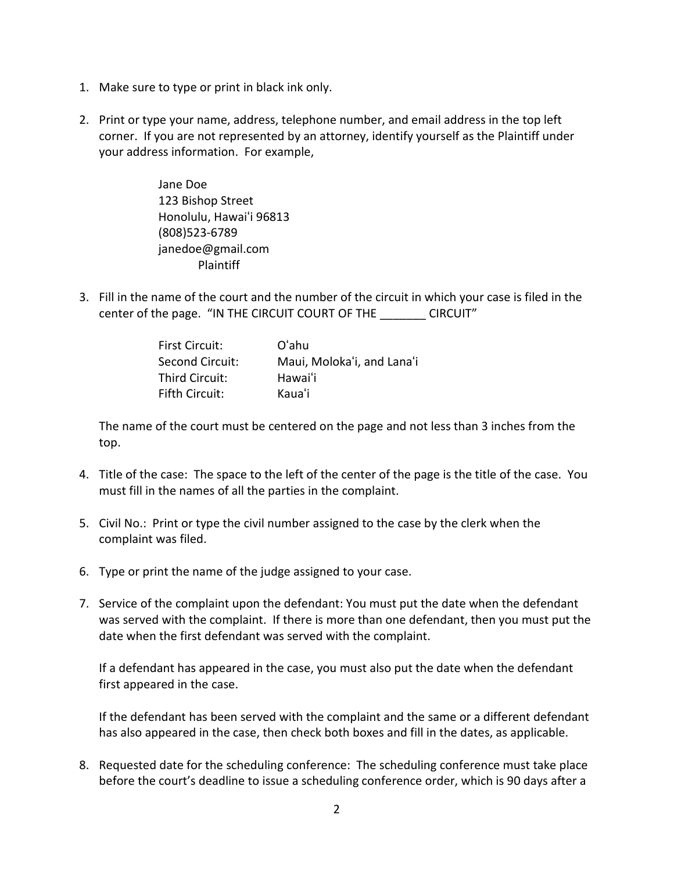- 1. Make sure to type or print in black ink only.
- 2. Print or type your name, address, telephone number, and email address in the top left corner. If you are not represented by an attorney, identify yourself as the Plaintiff under your address information. For example,

Jane Doe 123 Bishop Street Honolulu, Hawaiʻi 96813 (808)523-6789 janedoe@gmail.com Plaintiff

3. Fill in the name of the court and the number of the circuit in which your case is filed in the center of the page. "IN THE CIRCUIT COURT OF THE \_\_\_\_\_\_\_ CIRCUIT"

| First Circuit:  | O'ahu                      |
|-----------------|----------------------------|
| Second Circuit: | Maui, Moloka'i, and Lana'i |
| Third Circuit:  | Hawai'i                    |
| Fifth Circuit:  | Kaua'i                     |

The name of the court must be centered on the page and not less than 3 inches from the top.

- 4. Title of the case: The space to the left of the center of the page is the title of the case. You must fill in the names of all the parties in the complaint.
- 5. Civil No.: Print or type the civil number assigned to the case by the clerk when the complaint was filed.
- 6. Type or print the name of the judge assigned to your case.
- 7. Service of the complaint upon the defendant: You must put the date when the defendant was served with the complaint. If there is more than one defendant, then you must put the date when the first defendant was served with the complaint.

If a defendant has appeared in the case, you must also put the date when the defendant first appeared in the case.

If the defendant has been served with the complaint and the same or a different defendant has also appeared in the case, then check both boxes and fill in the dates, as applicable.

8. Requested date for the scheduling conference: The scheduling conference must take place before the court's deadline to issue a scheduling conference order, which is 90 days after a